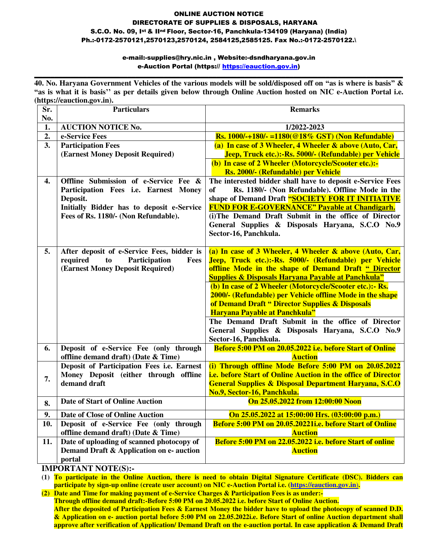#### ONLINE AUCTION NOTICE DIRECTORATE OF SUPPLIES & DISPOSALS, HARYANA S.C.O. No. 09, Ist & IInd Floor, Sector-16, Panchkula-134109 (Haryana) (India) Ph.:-0172-2570121,2570123,2570124, 2584125,2585125. Fax No.:-0172-2570122.\

#### e-mail:-supplies@hry.nic.in , Website:-dsndharyana.gov.in e-Auction Portal [\(https:// https://eauction.gov.in\)](https://haryanaeprocurement.gov.in/) **\_\_\_\_\_\_\_\_\_\_\_\_\_\_\_\_\_\_\_\_\_\_\_\_\_\_\_\_\_\_\_\_\_\_\_\_\_\_\_\_\_\_\_\_\_\_\_\_\_\_\_\_\_\_\_\_\_\_\_\_\_\_\_\_\_\_\_\_\_\_\_\_\_\_\_\_\_\_\_\_\_\_\_\_\_\_\_\_\_\_\_**

**40. No. Haryana Government Vehicles of the various models will be sold/disposed off on "as is where is basis" & "as is what it is basis'' as per details given below through Online Auction hosted on NIC e-Auction Portal i.e. [\(https://e](https://)auction.gov.in).**

| Sr.<br>No. | <b>Particulars</b>                                                                                                                                                              | <b>Remarks</b>                                                                                                                                                                                                                                                                                                                                                                                                                                                                                                                                                                            |  |  |
|------------|---------------------------------------------------------------------------------------------------------------------------------------------------------------------------------|-------------------------------------------------------------------------------------------------------------------------------------------------------------------------------------------------------------------------------------------------------------------------------------------------------------------------------------------------------------------------------------------------------------------------------------------------------------------------------------------------------------------------------------------------------------------------------------------|--|--|
| 1.         | <b>AUCTION NOTICE No.</b>                                                                                                                                                       | 1/2022-2023                                                                                                                                                                                                                                                                                                                                                                                                                                                                                                                                                                               |  |  |
| 2.         | e-Service Fees                                                                                                                                                                  | <b>Rs.</b> 1000/-+180/- =1180(@18% GST) (Non Refundable)                                                                                                                                                                                                                                                                                                                                                                                                                                                                                                                                  |  |  |
| 3.         | <b>Participation Fees</b><br>(Earnest Money Deposit Required)                                                                                                                   | (a) In case of 3 Wheeler, 4 Wheeler & above (Auto, Car,<br>Jeep, Truck etc.):-Rs. 5000/- (Refundable) per Vehicle<br>(b) In case of 2 Wheeler (Motorcycle/Scooter etc.):-<br>Rs. 2000/- (Refundable) per Vehicle                                                                                                                                                                                                                                                                                                                                                                          |  |  |
| 4.         | Offline Submission of e-Service Fee &<br>Participation Fees i.e. Earnest Money<br>Deposit.<br>Initially Bidder has to deposit e-Service<br>Fees of Rs. 1180/- (Non Refundable). | The interested bidder shall have to deposit e-Service Fees<br>of<br>Rs. 1180/- (Non Refundable). Offline Mode in the<br>shape of Demand Draft "SOCIETY FOR IT INITIATIVE<br><b>FUND FOR E-GOVERNANCE" Payable at Chandigarh.</b><br>(i) The Demand Draft Submit in the office of Director<br>General Supplies & Disposals Haryana, S.C.O No.9<br>Sector-16, Panchkula.                                                                                                                                                                                                                    |  |  |
| 5.         | After deposit of e-Service Fees, bidder is<br>required<br>Participation<br>to<br>Fees<br>(Earnest Money Deposit Required)                                                       | (a) In case of 3 Wheeler, 4 Wheeler & above (Auto, Car,<br>Jeep, Truck etc.):-Rs. 5000/- (Refundable) per Vehicle<br>offline Mode in the shape of Demand Draft " Director<br><b>Supplies &amp; Disposals Haryana Payable at Panchkula"</b><br>(b) In case of 2 Wheeler (Motorcycle/Scooter etc.):- Rs.<br>2000/- (Refundable) per Vehicle offline Mode in the shape<br>of Demand Draft " Director Supplies & Disposals<br>Haryana Payable at Panchkula"<br>The Demand Draft Submit in the office of Director<br>General Supplies & Disposals Haryana, S.C.O No.9<br>Sector-16, Panchkula. |  |  |
| 6.         | Deposit of e-Service Fee (only through<br>offline demand draft) (Date & Time)                                                                                                   | Before 5:00 PM on 20.05.2022 i.e. before Start of Online<br><b>Auction</b>                                                                                                                                                                                                                                                                                                                                                                                                                                                                                                                |  |  |
| 7.         | Deposit of Participation Fees i.e. Earnest<br>Money Deposit (either through offline<br>demand draft                                                                             | (i) Through offline Mode Before 5:00 PM on 20.05.2022<br>i.e. before Start of Online Auction in the office of Director<br><b>General Supplies &amp; Disposal Department Haryana, S.C.O</b><br>No.9, Sector-16, Panchkula.                                                                                                                                                                                                                                                                                                                                                                 |  |  |
| 8.         | <b>Date of Start of Online Auction</b>                                                                                                                                          | On 25.05.2022 from 12:00:00 Noon                                                                                                                                                                                                                                                                                                                                                                                                                                                                                                                                                          |  |  |
| 9.         | Date of Close of Online Auction                                                                                                                                                 | On 25.05.2022 at 15:00:00 Hrs. (03:00:00 p.m.)                                                                                                                                                                                                                                                                                                                                                                                                                                                                                                                                            |  |  |
| 10.        | Deposit of e-Service Fee (only through<br>offline demand draft) (Date & Time)                                                                                                   | Before 5:00 PM on 20.05.20221i.e. before Start of Online<br><b>Auction</b>                                                                                                                                                                                                                                                                                                                                                                                                                                                                                                                |  |  |
| 11.        | Date of uploading of scanned photocopy of<br>Demand Draft & Application on e- auction<br>portal                                                                                 | Before 5:00 PM on 22.05.2022 i.e. before Start of online<br><b>Auction</b>                                                                                                                                                                                                                                                                                                                                                                                                                                                                                                                |  |  |

**IMPORTANT NOTE(S):-** 

**(1) To participate in the Online Auction, there is need to obtain Digital Signature Certificate (DSC). Bidders can participate by sign-up online (create user account) on NIC e-Auction Portal i.e. [\(https://e](https://)auction.gov.in**)**.** 

**(2) Date and Time for making payment of e-Service Charges & Participation Fees is as under:- Through offline demand draft:-Before 5:00 PM on 20.05.2022 i.e. before Start of Online Auction. After the deposited of Participation Fees & Earnest Money the bidder have to upload the photocopy of scanned D.D. & Application on e- auction portal before 5:00 PM on 22.05.2022i.e. Before Start of online Auction department shall approve after verification of Application/ Demand Draft on the e-auction portal. In case application & Demand Draft**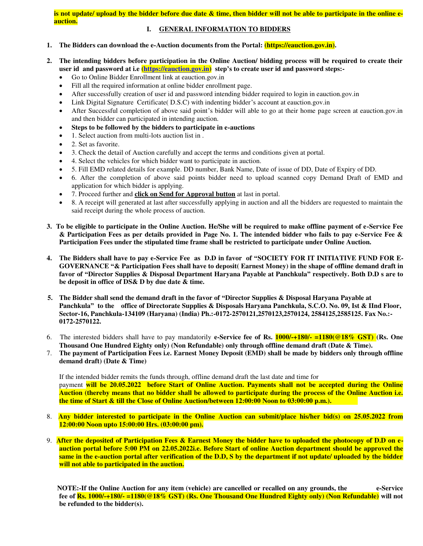**is not update/ upload by the bidder before due date & time, then bidder will not be able to participate in the online eauction.** 

#### **I. GENERAL INFORMATION TO BIDDERS**

- **1. The Bidders can download the e-Auction documents from the Portal: [\(https://e](https://)auction.gov.in).**
- **2. The intending bidders before participation in the Online Auction/ bidding process will be required to create their user id and password at i.e [\(https://eauction.gov.in\)](https://eauction.gov.in/) step's to create user id and password steps:-** 
	- Go to Online Bidder Enrollment link at eauction.gov.in
	- Fill all the required information at online bidder enrollment page.
	- After successfully creation of user id and password intending bidder required to login in eauction.gov.in
	- Link Digital Signature Certificate( D.S.C) with indenting bidder's account at eauction.gov.in
	- After Successful completion of above said point's bidder will able to go at their home page screen at eauction.gov.in and then bidder can participated in intending auction.
	- **Steps to be followed by the bidders to participate in e-auctions**
	- 1. Select auction from multi-lots auction list in .
	- 2. Set as favorite.
	- 3. Check the detail of Auction carefully and accept the terms and conditions given at portal.
	- 4. Select the vehicles for which bidder want to participate in auction.
	- 5. Fill EMD related details for example. DD number, Bank Name, Date of issue of DD, Date of Expiry of DD.
	- 6. After the completion of above said points bidder need to upload scanned copy Demand Draft of EMD and application for which bidder is applying.
	- 7. Proceed further and **click on Send for Approval button** at last in portal.
	- 8. A receipt will generated at last after successfully applying in auction and all the bidders are requested to maintain the said receipt during the whole process of auction.
- **3. To be eligible to participate in the Online Auction. He/She will be required to make offline payment of e-Service Fee & Participation Fees as per details provided in Page No. 1. The intended bidder who fails to pay e-Service Fee & Participation Fees under the stipulated time frame shall be restricted to participate under Online Auction.**
- **4. The Bidders shall have to pay e-Service Fee as D.D in favor of "SOCIETY FOR IT INITIATIVE FUND FOR E-GOVERNANCE "& Participation Fees shall have to deposit( Earnest Money) in the shape of offline demand draft in favor of "Director Supplies & Disposal Department Haryana Payable at Panchkula" respectively. Both D.D s are to be deposit in office of DS& D by due date & time.**
- **5. The Bidder shall send the demand draft in the favor of "Director Supplies & Disposal Haryana Payable at Panchkula" to the office of Directorate Supplies & Disposals Haryana Panchkula, S.C.O. No. 09, Ist & IInd Floor, Sector-16, Panchkula-134109 (Haryana) (India) Ph.:-0172-2570121,2570123,2570124, 2584125,2585125. Fax No.:- 0172-2570122.**
- 6.The interested bidders shall have to pay mandatorily **e-Service fee of Rs. 1000/-+180/- =1180(@18% GST) (Rs. One Thousand One Hundred Eighty only) (Non Refundable) only through offline demand draft (Date & Time).**
- 7. **The payment of Participation Fees i.e. Earnest Money Deposit (EMD) shall be made by bidders only through offline demand draft) (Date & Time)**

 If the intended bidder remits the funds through, offline demand draft the last date and time for payment **will be 20.05.2022 before Start of Online Auction. Payments shall not be accepted during the Online Auction (thereby means that no bidder shall be allowed to participate during the process of the Online Auction i.e. the time of Start & till the Close of Online Auction/between 12:00:00 Noon to 03:00:00 p.m.).** 

- 8. **Any bidder interested to participate in the Online Auction can submit/place his/her bid(s) on 25.05.2022 from 12:00:00 Noon upto 15:00:00 Hrs. (03:00:00 pm).**
- 9. **After the deposited of Participation Fees & Earnest Money the bidder have to uploaded the photocopy of D.D on eauction portal before 5:00 PM on 22.05.2022i.e. Before Start of online Auction department should be approved the same in the e-auction portal after verification of the D.D, S by the department if not update/ uploaded by the bidder will not able to participated in the auction.**

 **NOTE:-If the Online Auction for any item (vehicle) are cancelled or recalled on any grounds, the e-Service fee of Rs. 1000/-+180/- =1180(@18% GST) (Rs. One Thousand One Hundred Eighty only) (Non Refundable) will not be refunded to the bidder(s).**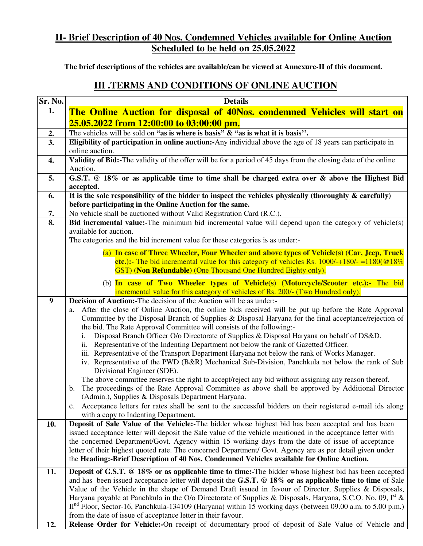# **II- Brief Description of 40 Nos. Condemned Vehicles available for Online Auction Scheduled to be held on 25.05.2022**

**The brief descriptions of the vehicles are available/can be viewed at Annexure-II of this document.** 

# **III .TERMS AND CONDITIONS OF ONLINE AUCTION**

| Sr. No.                   | <b>Details</b>                                                                                                                                                               |  |  |  |  |  |
|---------------------------|------------------------------------------------------------------------------------------------------------------------------------------------------------------------------|--|--|--|--|--|
| 1.                        | The Online Auction for disposal of 40Nos. condemned Vehicles will start on                                                                                                   |  |  |  |  |  |
|                           | 25.05.2022 from 12:00:00 to 03:00:00 pm.                                                                                                                                     |  |  |  |  |  |
| 2.                        | The vehicles will be sold on "as is where is basis" $\&$ "as is what it is basis".                                                                                           |  |  |  |  |  |
| 3.                        | Eligibility of participation in online auction:-Any individual above the age of 18 years can participate in                                                                  |  |  |  |  |  |
|                           | online auction.                                                                                                                                                              |  |  |  |  |  |
| 4.                        | Validity of Bid:-The validity of the offer will be for a period of 45 days from the closing date of the online                                                               |  |  |  |  |  |
|                           | Auction.                                                                                                                                                                     |  |  |  |  |  |
| 5.                        | G.S.T. @ 18% or as applicable time to time shall be charged extra over & above the Highest Bid<br>accepted.                                                                  |  |  |  |  |  |
| 6.                        | It is the sole responsibility of the bidder to inspect the vehicles physically (thoroughly $\&$ carefully)                                                                   |  |  |  |  |  |
|                           | before participating in the Online Auction for the same.                                                                                                                     |  |  |  |  |  |
| 7.                        | No vehicle shall be auctioned without Valid Registration Card (R.C.).                                                                                                        |  |  |  |  |  |
| $\overline{\mathbf{8}}$ . | Bid incremental value:-The minimum bid incremental value will depend upon the category of vehicle(s)                                                                         |  |  |  |  |  |
|                           | available for auction.                                                                                                                                                       |  |  |  |  |  |
|                           | The categories and the bid increment value for these categories is as under:-                                                                                                |  |  |  |  |  |
|                           | (a) In case of Three Wheeler, Four Wheeler and above types of Vehicle(s) (Car, Jeep, Truck                                                                                   |  |  |  |  |  |
|                           | etc.):- The bid incremental value for this category of vehicles Rs. $1000/-180/-1180(@18%$                                                                                   |  |  |  |  |  |
|                           | GST) (Non Refundable) (One Thousand One Hundred Eighty only).                                                                                                                |  |  |  |  |  |
|                           | (b) In case of Two Wheeler types of Vehicle(s) (Motorcycle/Scooter etc.):- The bid                                                                                           |  |  |  |  |  |
|                           | incremental value for this category of vehicles of Rs. 200/- (Two Hundred only).                                                                                             |  |  |  |  |  |
| 9                         | <b>Decision of Auction:-The decision of the Auction will be as under:-</b>                                                                                                   |  |  |  |  |  |
|                           | After the close of Online Auction, the online bids received will be put up before the Rate Approval<br>a.                                                                    |  |  |  |  |  |
|                           | Committee by the Disposal Branch of Supplies & Disposal Haryana for the final acceptance/rejection of                                                                        |  |  |  |  |  |
|                           | the bid. The Rate Approval Committee will consists of the following:-<br>Disposal Branch Officer O/o Directorate of Supplies & Disposal Haryana on behalf of DS&D.<br>i.     |  |  |  |  |  |
|                           | Representative of the Indenting Department not below the rank of Gazetted Officer.<br>ii.                                                                                    |  |  |  |  |  |
|                           | iii. Representative of the Transport Department Haryana not below the rank of Works Manager.                                                                                 |  |  |  |  |  |
|                           | iv. Representative of the PWD (B&R) Mechanical Sub-Division, Panchkula not below the rank of Sub                                                                             |  |  |  |  |  |
|                           | Divisional Engineer (SDE).                                                                                                                                                   |  |  |  |  |  |
|                           | The above committee reserves the right to accept/reject any bid without assigning any reason thereof.                                                                        |  |  |  |  |  |
|                           | The proceedings of the Rate Approval Committee as above shall be approved by Additional Director<br>$\mathbf{b}$ .                                                           |  |  |  |  |  |
|                           | (Admin.), Supplies & Disposals Department Haryana.<br>c. Acceptance letters for rates shall be sent to the successful bidders on their registered e-mail ids along           |  |  |  |  |  |
|                           | with a copy to Indenting Department.                                                                                                                                         |  |  |  |  |  |
| 10.                       | Deposit of Sale Value of the Vehicle:-The bidder whose highest bid has been accepted and has been                                                                            |  |  |  |  |  |
|                           | issued acceptance letter will deposit the Sale value of the vehicle mentioned in the acceptance letter with                                                                  |  |  |  |  |  |
|                           | the concerned Department/Govt. Agency within 15 working days from the date of issue of acceptance                                                                            |  |  |  |  |  |
|                           | letter of their highest quoted rate. The concerned Department/ Govt. Agency are as per detail given under                                                                    |  |  |  |  |  |
|                           | the Heading:-Brief Description of 40 Nos. Condemned Vehicles available for Online Auction.                                                                                   |  |  |  |  |  |
| 11.                       | <b>Deposit of G.S.T.</b> @ 18% or as applicable time to time:-The bidder whose highest bid has been accepted                                                                 |  |  |  |  |  |
|                           | and has been issued acceptance letter will deposit the G.S.T. @ 18% or as applicable time to time of Sale                                                                    |  |  |  |  |  |
|                           | Value of the Vehicle in the shape of Demand Draft issued in favour of Director, Supplies & Disposals,                                                                        |  |  |  |  |  |
|                           | Haryana payable at Panchkula in the O/o Directorate of Supplies & Disposals, Haryana, S.C.O. No. 09, $Ist$ &                                                                 |  |  |  |  |  |
|                           | $IInd$ Floor, Sector-16, Panchkula-134109 (Haryana) within 15 working days (between 09.00 a.m. to 5.00 p.m.)<br>from the date of issue of acceptance letter in their favour. |  |  |  |  |  |
| 12.                       | Release Order for Vehicle:-On receipt of documentary proof of deposit of Sale Value of Vehicle and                                                                           |  |  |  |  |  |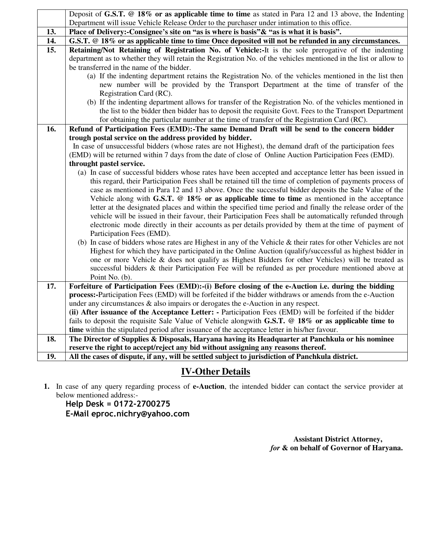|                   | Deposit of G.S.T. @ 18% or as applicable time to time as stated in Para 12 and 13 above, the Indenting                                                                                                                   |  |  |  |  |  |  |
|-------------------|--------------------------------------------------------------------------------------------------------------------------------------------------------------------------------------------------------------------------|--|--|--|--|--|--|
|                   | Department will issue Vehicle Release Order to the purchaser under intimation to this office.                                                                                                                            |  |  |  |  |  |  |
| 13.               | Place of Delivery:-Consignee's site on "as is where is basis" & "as is what it is basis".                                                                                                                                |  |  |  |  |  |  |
| 14.               | G.S.T. @ 18% or as applicable time to time Once deposited will not be refunded in any circumstances.                                                                                                                     |  |  |  |  |  |  |
| $\overline{15}$ . | Retaining/Not Retaining of Registration No. of Vehicle:-It is the sole prerogative of the indenting                                                                                                                      |  |  |  |  |  |  |
|                   | department as to whether they will retain the Registration No. of the vehicles mentioned in the list or allow to                                                                                                         |  |  |  |  |  |  |
|                   | be transferred in the name of the bidder.                                                                                                                                                                                |  |  |  |  |  |  |
|                   | (a) If the indenting department retains the Registration No. of the vehicles mentioned in the list then                                                                                                                  |  |  |  |  |  |  |
|                   | new number will be provided by the Transport Department at the time of transfer of the                                                                                                                                   |  |  |  |  |  |  |
|                   | Registration Card (RC).                                                                                                                                                                                                  |  |  |  |  |  |  |
|                   | (b) If the indenting department allows for transfer of the Registration No. of the vehicles mentioned in                                                                                                                 |  |  |  |  |  |  |
|                   | the list to the bidder then bidder has to deposit the requisite Govt. Fees to the Transport Department                                                                                                                   |  |  |  |  |  |  |
|                   | for obtaining the particular number at the time of transfer of the Registration Card (RC).                                                                                                                               |  |  |  |  |  |  |
| 16.               | Refund of Participation Fees (EMD):-The same Demand Draft will be send to the concern bidder                                                                                                                             |  |  |  |  |  |  |
|                   | trough postal service on the address provided by bidder.                                                                                                                                                                 |  |  |  |  |  |  |
|                   | In case of unsuccessful bidders (whose rates are not Highest), the demand draft of the participation fees                                                                                                                |  |  |  |  |  |  |
|                   | (EMD) will be returned within 7 days from the date of close of Online Auction Participation Fees (EMD).                                                                                                                  |  |  |  |  |  |  |
|                   | throught pastel service.                                                                                                                                                                                                 |  |  |  |  |  |  |
|                   | (a) In case of successful bidders whose rates have been accepted and acceptance letter has been issued in                                                                                                                |  |  |  |  |  |  |
|                   | this regard, their Participation Fees shall be retained till the time of completion of payments process of                                                                                                               |  |  |  |  |  |  |
|                   | case as mentioned in Para 12 and 13 above. Once the successful bidder deposits the Sale Value of the                                                                                                                     |  |  |  |  |  |  |
|                   | Vehicle along with G.S.T. $@18\%$ or as applicable time to time as mentioned in the acceptance                                                                                                                           |  |  |  |  |  |  |
|                   | letter at the designated places and within the specified time period and finally the release order of the                                                                                                                |  |  |  |  |  |  |
|                   | vehicle will be issued in their favour, their Participation Fees shall be automatically refunded through                                                                                                                 |  |  |  |  |  |  |
|                   | electronic mode directly in their accounts as per details provided by them at the time of payment of                                                                                                                     |  |  |  |  |  |  |
|                   | Participation Fees (EMD).                                                                                                                                                                                                |  |  |  |  |  |  |
|                   | (b) In case of bidders whose rates are Highest in any of the Vehicle & their rates for other Vehicles are not<br>Highest for which they have participated in the Online Auction (qualify/successful as highest bidder in |  |  |  |  |  |  |
|                   | one or more Vehicle & does not qualify as Highest Bidders for other Vehicles) will be treated as                                                                                                                         |  |  |  |  |  |  |
|                   | successful bidders & their Participation Fee will be refunded as per procedure mentioned above at                                                                                                                        |  |  |  |  |  |  |
|                   | Point No. (b).                                                                                                                                                                                                           |  |  |  |  |  |  |
| 17.               | Forfeiture of Participation Fees (EMD):-(i) Before closing of the e-Auction i.e. during the bidding                                                                                                                      |  |  |  |  |  |  |
|                   | <b>process:</b> -Participation Fees (EMD) will be forfeited if the bidder withdraws or amends from the e-Auction                                                                                                         |  |  |  |  |  |  |
|                   | under any circumstances & also impairs or derogates the e-Auction in any respect.                                                                                                                                        |  |  |  |  |  |  |
|                   | (ii) After issuance of the Acceptance Letter: - Participation Fees (EMD) will be forfeited if the bidder                                                                                                                 |  |  |  |  |  |  |
|                   | fails to deposit the requisite Sale Value of Vehicle alongwith G.S.T. @ 18% or as applicable time to                                                                                                                     |  |  |  |  |  |  |
|                   | time within the stipulated period after issuance of the acceptance letter in his/her favour.                                                                                                                             |  |  |  |  |  |  |
| 18.               | The Director of Supplies & Disposals, Haryana having its Headquarter at Panchkula or his nominee                                                                                                                         |  |  |  |  |  |  |
|                   | reserve the right to accept/reject any bid without assigning any reasons thereof.                                                                                                                                        |  |  |  |  |  |  |
| 19.               | All the cases of dispute, if any, will be settled subject to jurisdiction of Panchkula district.                                                                                                                         |  |  |  |  |  |  |

# **IV-Other Details**

**1.** In case of any query regarding process of **e-Auction**, the intended bidder can contact the service provider at below mentioned address:-

### **Help Desk = 0172-2700275 E-Mail eproc.nichry@yahoo.com**

 **Assistant District Attorney,** *for* **& on behalf of Governor of Haryana.**